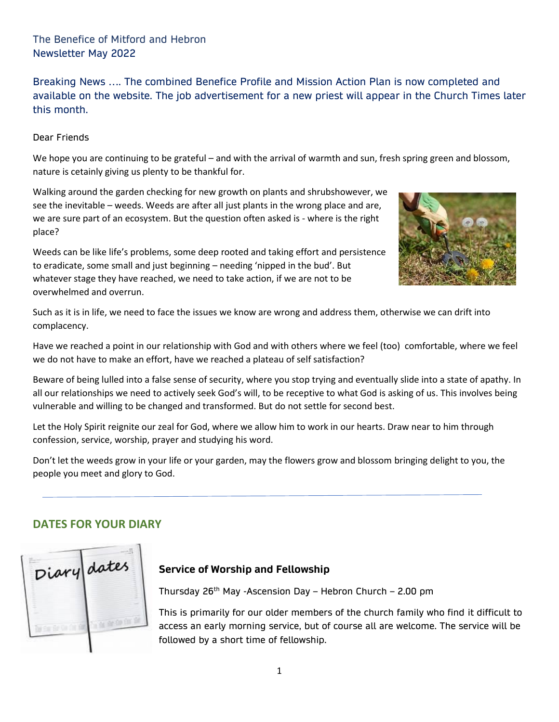The Benefice of Mitford and Hebron Newsletter May 2022

Breaking News …. The combined Benefice Profile and Mission Action Plan is now completed and available on the website. The job advertisement for a new priest will appear in the Church Times later this month.

Dear Friends

We hope you are continuing to be grateful – and with the arrival of warmth and sun, fresh spring green and blossom, nature is cetainly giving us plenty to be thankful for.

Walking around the garden checking for new growth on plants and shrubshowever, we see the inevitable – weeds. Weeds are after all just plants in the wrong place and are, we are sure part of an ecosystem. But the question often asked is - where is the right place?

Weeds can be like life's problems, some deep rooted and taking effort and persistence to eradicate, some small and just beginning – needing 'nipped in the bud'. But whatever stage they have reached, we need to take action, if we are not to be overwhelmed and overrun.



Such as it is in life, we need to face the issues we know are wrong and address them, otherwise we can drift into complacency.

Have we reached a point in our relationship with God and with others where we feel (too) comfortable, where we feel we do not have to make an effort, have we reached a plateau of self satisfaction?

Beware of being lulled into a false sense of security, where you stop trying and eventually slide into a state of apathy. In all our relationships we need to actively seek God's will, to be receptive to what God is asking of us. This involves being vulnerable and willing to be changed and transformed. But do not settle for second best.

Let the Holy Spirit reignite our zeal for God, where we allow him to work in our hearts. Draw near to him through confession, service, worship, prayer and studying his word.

Don't let the weeds grow in your life or your garden, may the flowers grow and blossom bringing delight to you, the people you meet and glory to God.

# **DATES FOR YOUR DIARY**



#### **Service of Worship and Fellowship**

Thursday  $26<sup>th</sup>$  May -Ascension Day – Hebron Church – 2.00 pm

This is primarily for our older members of the church family who find it difficult to access an early morning service, but of course all are welcome. The service will be followed by a short time of fellowship.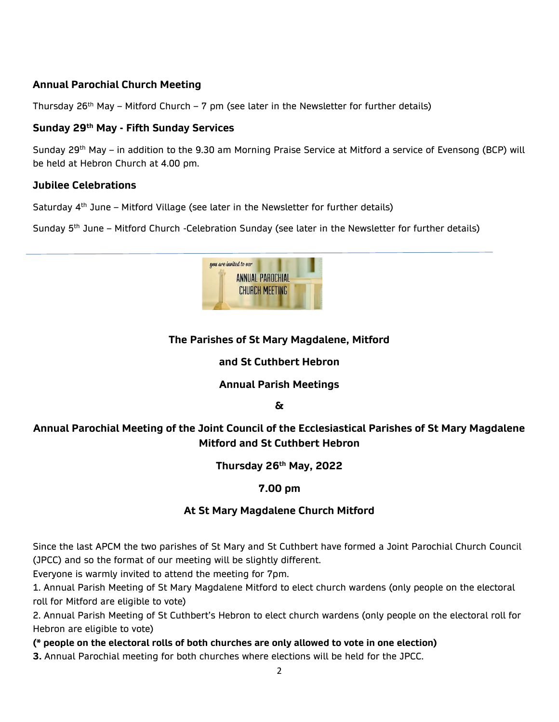# **Annual Parochial Church Meeting**

Thursday 26<sup>th</sup> May – Mitford Church – 7 pm (see later in the Newsletter for further details)

### **Sunday 29th May - Fifth Sunday Services**

Sunday 29th May – in addition to the 9.30 am Morning Praise Service at Mitford a service of Evensong (BCP) will be held at Hebron Church at 4.00 pm.

### **Jubilee Celebrations**

Saturday 4<sup>th</sup> June – Mitford Village (see later in the Newsletter for further details)

Sunday  $5<sup>th</sup>$  June – Mitford Church -Celebration Sunday (see later in the Newsletter for further details)



# **The Parishes of St Mary Magdalene, Mitford**

### **and St Cuthbert Hebron**

### **Annual Parish Meetings**

**&**

# **Annual Parochial Meeting of the Joint Council of the Ecclesiastical Parishes of St Mary Magdalene Mitford and St Cuthbert Hebron**

### **Thursday 26th May, 2022**

### **7.00 pm**

### **At St Mary Magdalene Church Mitford**

Since the last APCM the two parishes of St Mary and St Cuthbert have formed a Joint Parochial Church Council (JPCC) and so the format of our meeting will be slightly different.

Everyone is warmly invited to attend the meeting for 7pm.

1. Annual Parish Meeting of St Mary Magdalene Mitford to elect church wardens (only people on the electoral roll for Mitford are eligible to vote)

2. Annual Parish Meeting of St Cuthbert's Hebron to elect church wardens (only people on the electoral roll for Hebron are eligible to vote)

**(\* people on the electoral rolls of both churches are only allowed to vote in one election)**

**3.** Annual Parochial meeting for both churches where elections will be held for the JPCC.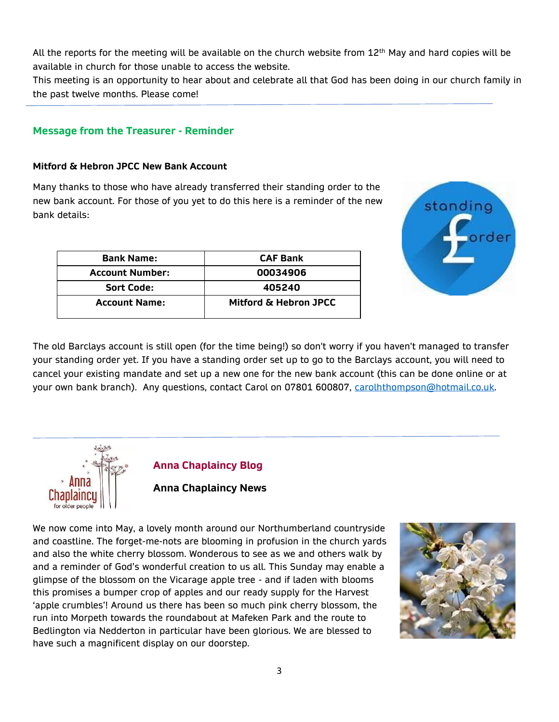All the reports for the meeting will be available on the church website from  $12<sup>th</sup>$  May and hard copies will be available in church for those unable to access the website.

This meeting is an opportunity to hear about and celebrate all that God has been doing in our church family in the past twelve months. Please come!

### **Message from the Treasurer - Reminder**

#### **Mitford & Hebron JPCC New Bank Account**

Many thanks to those who have already transferred their standing order to the new bank account. For those of you yet to do this here is a reminder of the new bank details:

| <b>Bank Name:</b>      | <b>CAF Bank</b>       |  |
|------------------------|-----------------------|--|
| <b>Account Number:</b> | 00034906              |  |
| <b>Sort Code:</b>      | 405240                |  |
| <b>Account Name:</b>   | Mitford & Hebron JPCC |  |



The old Barclays account is still open (for the time being!) so don't worry if you haven't managed to transfer your standing order yet. If you have a standing order set up to go to the Barclays account, you will need to cancel your existing mandate and set up a new one for the new bank account (this can be done online or at your own bank branch). Any questions, contact Carol on 07801 600807, [carolhthompson@hotmail.co.uk.](mailto:carolhthompson@hotmail.co.uk)



#### **Anna Chaplaincy Blog**

**Anna Chaplaincy News**

We now come into May, a lovely month around our Northumberland countryside and coastline. The forget-me-nots are blooming in profusion in the church yards and also the white cherry blossom. Wonderous to see as we and others walk by and a reminder of God's wonderful creation to us all. This Sunday may enable a glimpse of the blossom on the Vicarage apple tree - and if laden with blooms this promises a bumper crop of apples and our ready supply for the Harvest 'apple crumbles'! Around us there has been so much pink cherry blossom, the run into Morpeth towards the roundabout at Mafeken Park and the route to Bedlington via Nedderton in particular have been glorious. We are blessed to have such a magnificent display on our doorstep.

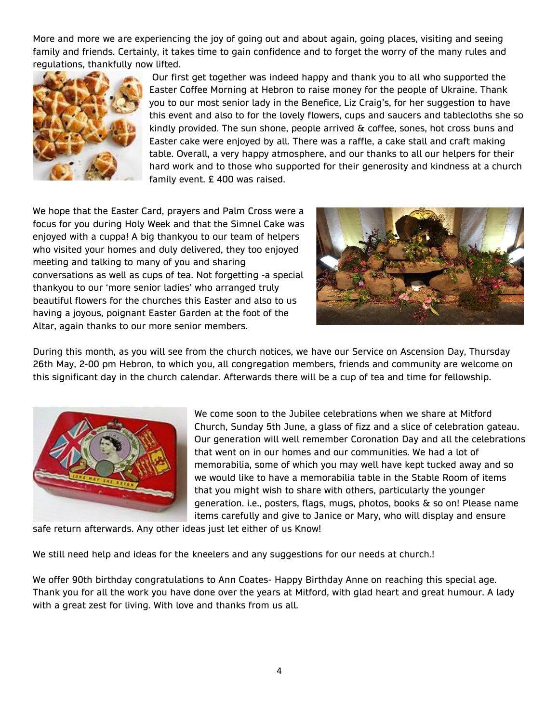More and more we are experiencing the joy of going out and about again, going places, visiting and seeing family and friends. Certainly, it takes time to gain confidence and to forget the worry of the many rules and regulations, thankfully now lifted.



Our first get together was indeed happy and thank you to all who supported the Easter Coffee Morning at Hebron to raise money for the people of Ukraine. Thank you to our most senior lady in the Benefice, Liz Craig's, for her suggestion to have this event and also to for the lovely flowers, cups and saucers and tablecloths she so kindly provided. The sun shone, people arrived & coffee, sones, hot cross buns and Easter cake were enjoyed by all. There was a raffle, a cake stall and craft making table. Overall, a very happy atmosphere, and our thanks to all our helpers for their hard work and to those who supported for their generosity and kindness at a church family event. £ 400 was raised.

We hope that the Easter Card, prayers and Palm Cross were a focus for you during Holy Week and that the Simnel Cake was enjoyed with a cuppa! A big thankyou to our team of helpers who visited your homes and duly delivered, they too enjoyed meeting and talking to many of you and sharing conversations as well as cups of tea. Not forgetting -a special thankyou to our 'more senior ladies' who arranged truly beautiful flowers for the churches this Easter and also to us having a joyous, poignant Easter Garden at the foot of the Altar, again thanks to our more senior members.



During this month, as you will see from the church notices, we have our Service on Ascension Day, Thursday 26th May, 2-00 pm Hebron, to which you, all congregation members, friends and community are welcome on this significant day in the church calendar. Afterwards there will be a cup of tea and time for fellowship.



We come soon to the Jubilee celebrations when we share at Mitford Church, Sunday 5th June, a glass of fizz and a slice of celebration gateau. Our generation will well remember Coronation Day and all the celebrations that went on in our homes and our communities. We had a lot of memorabilia, some of which you may well have kept tucked away and so we would like to have a memorabilia table in the Stable Room of items that you might wish to share with others, particularly the younger generation. i.e., posters, flags, mugs, photos, books & so on! Please name items carefully and give to Janice or Mary, who will display and ensure

safe return afterwards. Any other ideas just let either of us Know!

We still need help and ideas for the kneelers and any suggestions for our needs at church.!

We offer 90th birthday congratulations to Ann Coates- Happy Birthday Anne on reaching this special age. Thank you for all the work you have done over the years at Mitford, with glad heart and great humour. A lady with a great zest for living. With love and thanks from us all.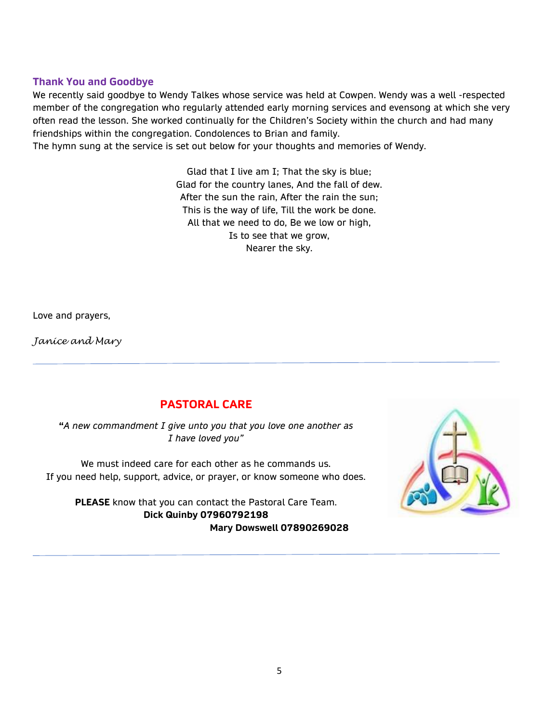#### **Thank You and Goodbye**

We recently said goodbye to Wendy Talkes whose service was held at Cowpen. Wendy was a well -respected member of the congregation who regularly attended early morning services and evensong at which she very often read the lesson. She worked continually for the Children's Society within the church and had many friendships within the congregation. Condolences to Brian and family. The hymn sung at the service is set out below for your thoughts and memories of Wendy.

> Glad that I live am I; That the sky is blue; Glad for the country lanes, And the fall of dew. After the sun the rain, After the rain the sun; This is the way of life, Till the work be done. All that we need to do, Be we low or high, Is to see that we grow, Nearer the sky.

Love and prayers,

*Janice and Mary*

# **PASTORAL CARE**

**"***A new commandment I give unto you that you love one another as I have loved you"*

We must indeed care for each other as he commands us. If you need help, support, advice, or prayer, or know someone who does.

**PLEASE** know that you can contact the Pastoral Care Team. **Dick Quinby 07960792198 Mary Dowswell 07890269028**

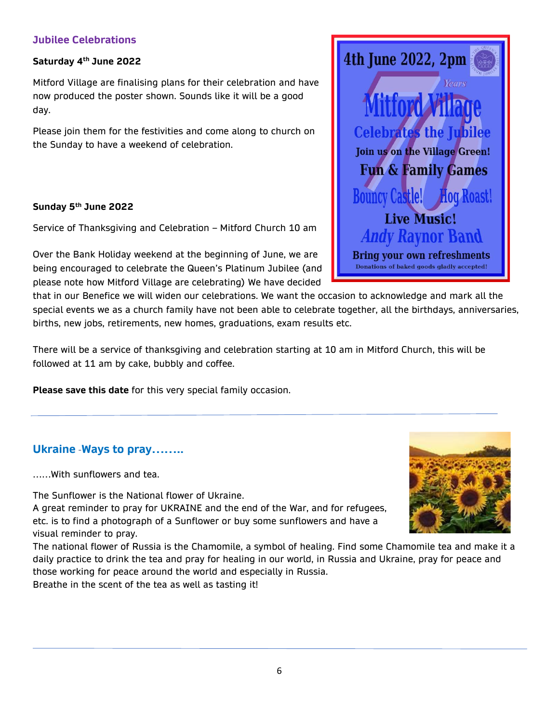# **Jubilee Celebrations**

#### **Saturday 4 th June 2022**

Mitford Village are finalising plans for their celebration and have now produced the poster shown. Sounds like it will be a good day.

Please join them for the festivities and come along to church on the Sunday to have a weekend of celebration.

### **Sunday 5th June 2022**

Service of Thanksgiving and Celebration – Mitford Church 10 am

Over the Bank Holiday weekend at the beginning of June, we are being encouraged to celebrate the Queen's Platinum Jubilee (and please note how Mitford Village are celebrating) We have decided

that in our Benefice we will widen our celebrations. We want the occasion to acknowledge and mark all the special events we as a church family have not been able to celebrate together, all the birthdays, anniversaries, births, new jobs, retirements, new homes, graduations, exam results etc.

There will be a service of thanksgiving and celebration starting at 10 am in Mitford Church, this will be followed at 11 am by cake, bubbly and coffee.

**Please save this date** for this very special family occasion.

# **Ukraine** -**Ways to pray……..**

……With sunflowers and tea.

The Sunflower is the National flower of Ukraine.

A great reminder to pray for UKRAINE and the end of the War, and for refugees, etc. is to find a photograph of a Sunflower or buy some sunflowers and have a visual reminder to pray.

The national flower of Russia is the [Chamomile,](https://blog.russianflora.com/blogs/russias-national-flower-chamomile/) a symbol of healing. Find some Chamomile tea and make it a daily practice to drink the tea and pray for healing in our world, in Russia and Ukraine, pray for peace and those working for peace around the world and especially in Russia.

Breathe in the scent of the tea as well as tasting it!



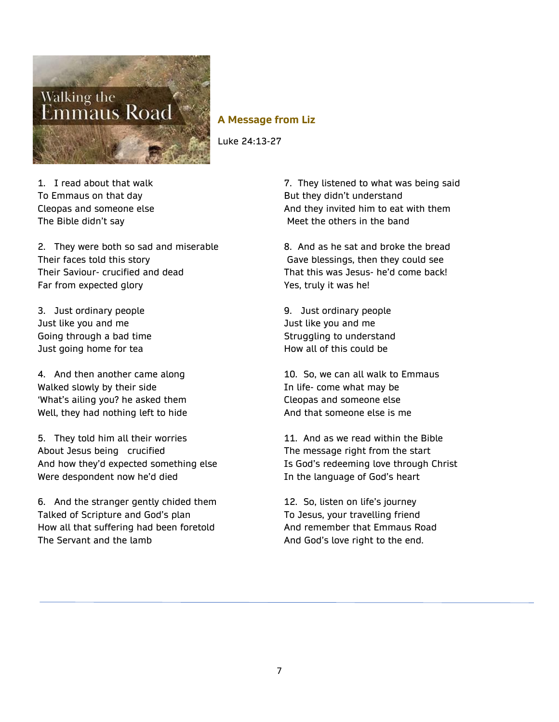

#### **A Message from Liz**

Luke 24:13-27

1. I read about that walk To Emmaus on that day Cleopas and someone else The Bible didn't say

2. They were both so sad and miserable Their faces told this story Their Saviour- crucified and dead Far from expected glory

3. Just ordinary people Just like you and me Going through a bad time Just going home for tea

4. And then another came along Walked slowly by their side 'What's ailing you? he asked them Well, they had nothing left to hide

5. They told him all their worries About Jesus being crucified And how they'd expected something else Were despondent now he'd died

6. And the stranger gently chided them Talked of Scripture and God's plan How all that suffering had been foretold The Servant and the lamb

7. They listened to what was being said But they didn't understand And they invited him to eat with them Meet the others in the band

8. And as he sat and broke the bread Gave blessings, then they could see That this was Jesus- he'd come back! Yes, truly it was he!

9. Just ordinary people Just like you and me Struggling to understand How all of this could be

10. So, we can all walk to Emmaus In life- come what may be Cleopas and someone else And that someone else is me

11. And as we read within the Bible The message right from the start Is God's redeeming love through Christ In the language of God's heart

12. So, listen on life's journey To Jesus, your travelling friend And remember that Emmaus Road And God's love right to the end.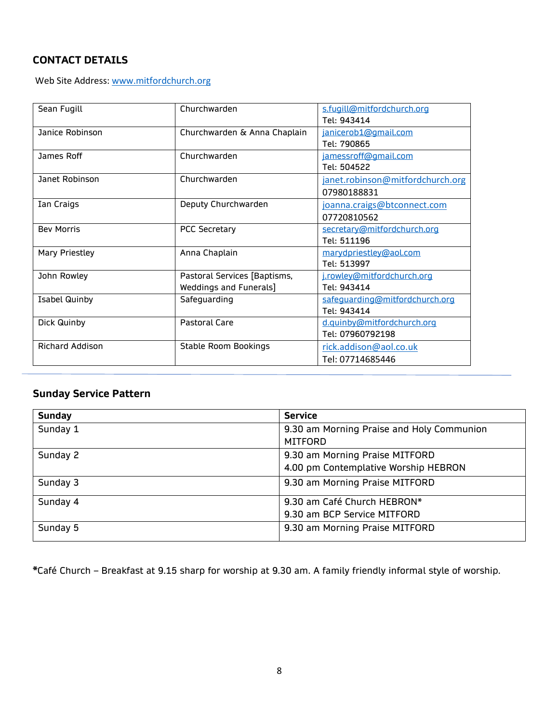# **CONTACT DETAILS**

Web Site Address[: www.mitfordchurch.org](http://www.mitfordchurch.org/)

| Sean Fugill<br>Churchwarden       |                               | s.fugill@mitfordchurch.org       |  |
|-----------------------------------|-------------------------------|----------------------------------|--|
|                                   |                               | Tel: 943414                      |  |
| Janice Robinson                   | Churchwarden & Anna Chaplain  | janicerob1@gmail.com             |  |
|                                   |                               | Tel: 790865                      |  |
| James Roff                        | Churchwarden                  | jamessroff@gmail.com             |  |
|                                   |                               | Tel: 504522                      |  |
| Janet Robinson                    | Churchwarden                  | janet.robinson@mitfordchurch.org |  |
|                                   |                               | 07980188831                      |  |
| Deputy Churchwarden<br>Ian Craigs |                               | joanna.craigs@btconnect.com      |  |
|                                   |                               | 07720810562                      |  |
| <b>Bev Morris</b>                 | <b>PCC Secretary</b>          | secretary@mitfordchurch.org      |  |
|                                   |                               | Tel: 511196                      |  |
| <b>Mary Priestley</b>             | Anna Chaplain                 | marydpriestley@aol.com           |  |
|                                   |                               | Tel: 513997                      |  |
| John Rowley                       | Pastoral Services [Baptisms,  | j.rowley@mitfordchurch.org       |  |
|                                   | <b>Weddings and Funerals]</b> | Tel: 943414                      |  |
| <b>Isabel Quinby</b>              | Safeguarding                  | safeguarding@mitfordchurch.org   |  |
|                                   |                               | Tel: 943414                      |  |
| Dick Quinby                       | <b>Pastoral Care</b>          | d.quinby@mitfordchurch.org       |  |
|                                   |                               | Tel: 07960792198                 |  |
| <b>Richard Addison</b>            | <b>Stable Room Bookings</b>   | rick.addison@aol.co.uk           |  |
|                                   |                               | Tel: 07714685446                 |  |

# **Sunday Service Pattern**

| <b>Sunday</b> | <b>Service</b>                            |  |
|---------------|-------------------------------------------|--|
| Sunday 1      | 9.30 am Morning Praise and Holy Communion |  |
|               | <b>MITFORD</b>                            |  |
| Sunday 2      | 9.30 am Morning Praise MITFORD            |  |
|               | 4.00 pm Contemplative Worship HEBRON      |  |
| Sunday 3      | 9.30 am Morning Praise MITFORD            |  |
| Sunday 4      | 9.30 am Café Church HEBRON*               |  |
|               | 9.30 am BCP Service MITFORD               |  |
| Sunday 5      | 9.30 am Morning Praise MITFORD            |  |

**\***Café Church – Breakfast at 9.15 sharp for worship at 9.30 am. A family friendly informal style of worship.